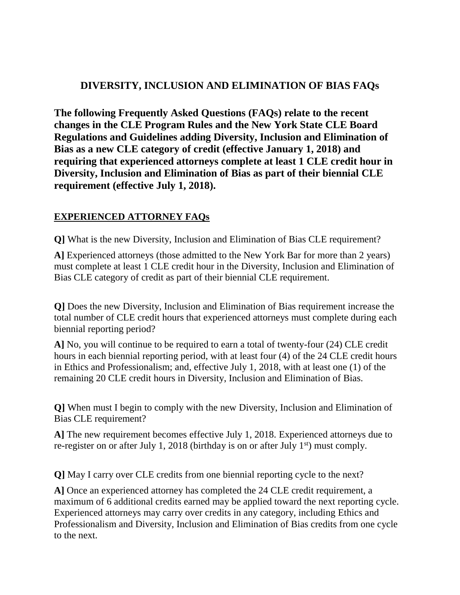## **DIVERSITY, INCLUSION AND ELIMINATION OF BIAS FAQs**

**The following Frequently Asked Questions (FAQs) relate to the recent changes in the CLE Program Rules and the New York State CLE Board Regulations and Guidelines adding Diversity, Inclusion and Elimination of Bias as a new CLE category of credit (effective January 1, 2018) and requiring that experienced attorneys complete at least 1 CLE credit hour in Diversity, Inclusion and Elimination of Bias as part of their biennial CLE requirement (effective July 1, 2018).**

## **EXPERIENCED ATTORNEY FAQs**

**Q]** What is the new Diversity, Inclusion and Elimination of Bias CLE requirement?

**A]** Experienced attorneys (those admitted to the New York Bar for more than 2 years) must complete at least 1 CLE credit hour in the Diversity, Inclusion and Elimination of Bias CLE category of credit as part of their biennial CLE requirement.

**Q]** Does the new Diversity, Inclusion and Elimination of Bias requirement increase the total number of CLE credit hours that experienced attorneys must complete during each biennial reporting period?

**A]** No, you will continue to be required to earn a total of twenty-four (24) CLE credit hours in each biennial reporting period, with at least four (4) of the 24 CLE credit hours in Ethics and Professionalism; and, effective July 1, 2018, with at least one (1) of the remaining 20 CLE credit hours in Diversity, Inclusion and Elimination of Bias.

**Q]** When must I begin to comply with the new Diversity, Inclusion and Elimination of Bias CLE requirement?

**A]** The new requirement becomes effective July 1, 2018. Experienced attorneys due to re-register on or after July 1, 2018 (birthday is on or after July  $1<sup>st</sup>$ ) must comply.

**Q]** May I carry over CLE credits from one biennial reporting cycle to the next?

**A]** Once an experienced attorney has completed the 24 CLE credit requirement, a maximum of 6 additional credits earned may be applied toward the next reporting cycle. Experienced attorneys may carry over credits in any category, including Ethics and Professionalism and Diversity, Inclusion and Elimination of Bias credits from one cycle to the next.